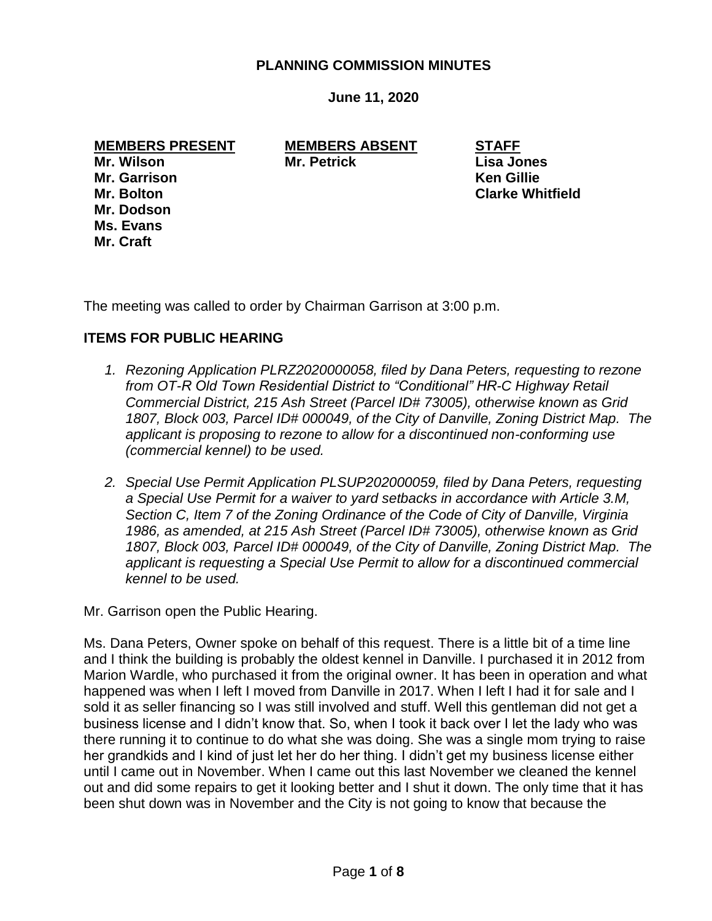# **PLANNING COMMISSION MINUTES**

**June 11, 2020**

**MEMBERS PRESENT MEMBERS ABSENT STAFF Mr. Wilson Mr. Petrick Lisa Jones Mr. Garrison Ken Gillie Mr. Bolton Clarke Whitfield Mr. Dodson Ms. Evans Mr. Craft**

The meeting was called to order by Chairman Garrison at 3:00 p.m.

# **ITEMS FOR PUBLIC HEARING**

- *1. Rezoning Application PLRZ2020000058, filed by Dana Peters, requesting to rezone from OT-R Old Town Residential District to "Conditional" HR-C Highway Retail Commercial District, 215 Ash Street (Parcel ID# 73005), otherwise known as Grid 1807, Block 003, Parcel ID# 000049, of the City of Danville, Zoning District Map. The applicant is proposing to rezone to allow for a discontinued non-conforming use (commercial kennel) to be used.*
- *2. Special Use Permit Application PLSUP202000059, filed by Dana Peters, requesting a Special Use Permit for a waiver to yard setbacks in accordance with Article 3.M, Section C, Item 7 of the Zoning Ordinance of the Code of City of Danville, Virginia 1986, as amended, at 215 Ash Street (Parcel ID# 73005), otherwise known as Grid 1807, Block 003, Parcel ID# 000049, of the City of Danville, Zoning District Map. The applicant is requesting a Special Use Permit to allow for a discontinued commercial kennel to be used.*

Mr. Garrison open the Public Hearing.

Ms. Dana Peters, Owner spoke on behalf of this request. There is a little bit of a time line and I think the building is probably the oldest kennel in Danville. I purchased it in 2012 from Marion Wardle, who purchased it from the original owner. It has been in operation and what happened was when I left I moved from Danville in 2017. When I left I had it for sale and I sold it as seller financing so I was still involved and stuff. Well this gentleman did not get a business license and I didn't know that. So, when I took it back over I let the lady who was there running it to continue to do what she was doing. She was a single mom trying to raise her grandkids and I kind of just let her do her thing. I didn't get my business license either until I came out in November. When I came out this last November we cleaned the kennel out and did some repairs to get it looking better and I shut it down. The only time that it has been shut down was in November and the City is not going to know that because the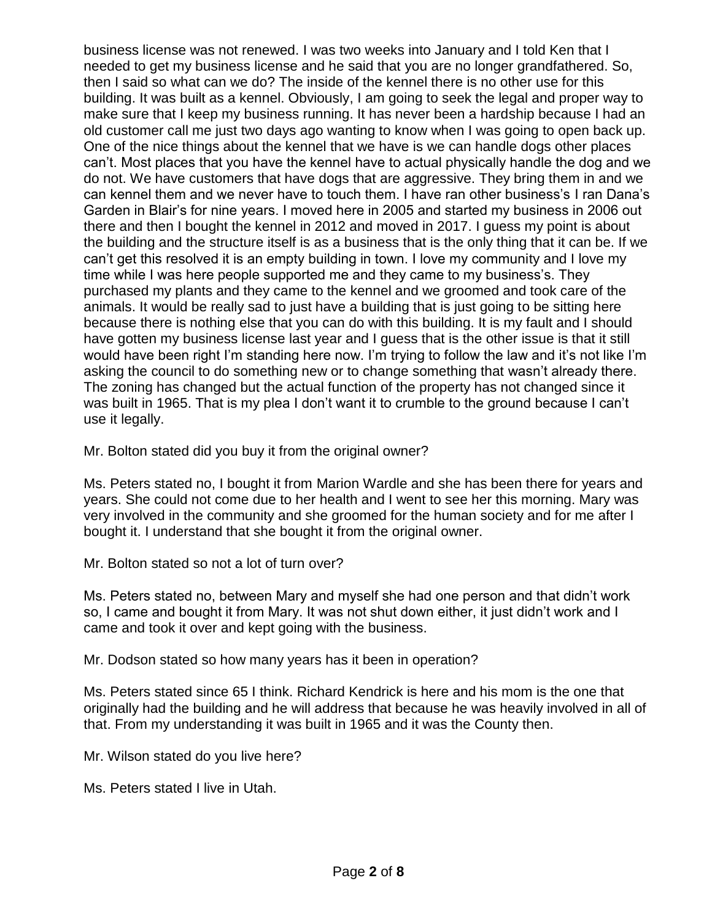business license was not renewed. I was two weeks into January and I told Ken that I needed to get my business license and he said that you are no longer grandfathered. So, then I said so what can we do? The inside of the kennel there is no other use for this building. It was built as a kennel. Obviously, I am going to seek the legal and proper way to make sure that I keep my business running. It has never been a hardship because I had an old customer call me just two days ago wanting to know when I was going to open back up. One of the nice things about the kennel that we have is we can handle dogs other places can't. Most places that you have the kennel have to actual physically handle the dog and we do not. We have customers that have dogs that are aggressive. They bring them in and we can kennel them and we never have to touch them. I have ran other business's I ran Dana's Garden in Blair's for nine years. I moved here in 2005 and started my business in 2006 out there and then I bought the kennel in 2012 and moved in 2017. I guess my point is about the building and the structure itself is as a business that is the only thing that it can be. If we can't get this resolved it is an empty building in town. I love my community and I love my time while I was here people supported me and they came to my business's. They purchased my plants and they came to the kennel and we groomed and took care of the animals. It would be really sad to just have a building that is just going to be sitting here because there is nothing else that you can do with this building. It is my fault and I should have gotten my business license last year and I guess that is the other issue is that it still would have been right I'm standing here now. I'm trying to follow the law and it's not like I'm asking the council to do something new or to change something that wasn't already there. The zoning has changed but the actual function of the property has not changed since it was built in 1965. That is my plea I don't want it to crumble to the ground because I can't use it legally.

Mr. Bolton stated did you buy it from the original owner?

Ms. Peters stated no, I bought it from Marion Wardle and she has been there for years and years. She could not come due to her health and I went to see her this morning. Mary was very involved in the community and she groomed for the human society and for me after I bought it. I understand that she bought it from the original owner.

Mr. Bolton stated so not a lot of turn over?

Ms. Peters stated no, between Mary and myself she had one person and that didn't work so, I came and bought it from Mary. It was not shut down either, it just didn't work and I came and took it over and kept going with the business.

Mr. Dodson stated so how many years has it been in operation?

Ms. Peters stated since 65 I think. Richard Kendrick is here and his mom is the one that originally had the building and he will address that because he was heavily involved in all of that. From my understanding it was built in 1965 and it was the County then.

Mr. Wilson stated do you live here?

Ms. Peters stated I live in Utah.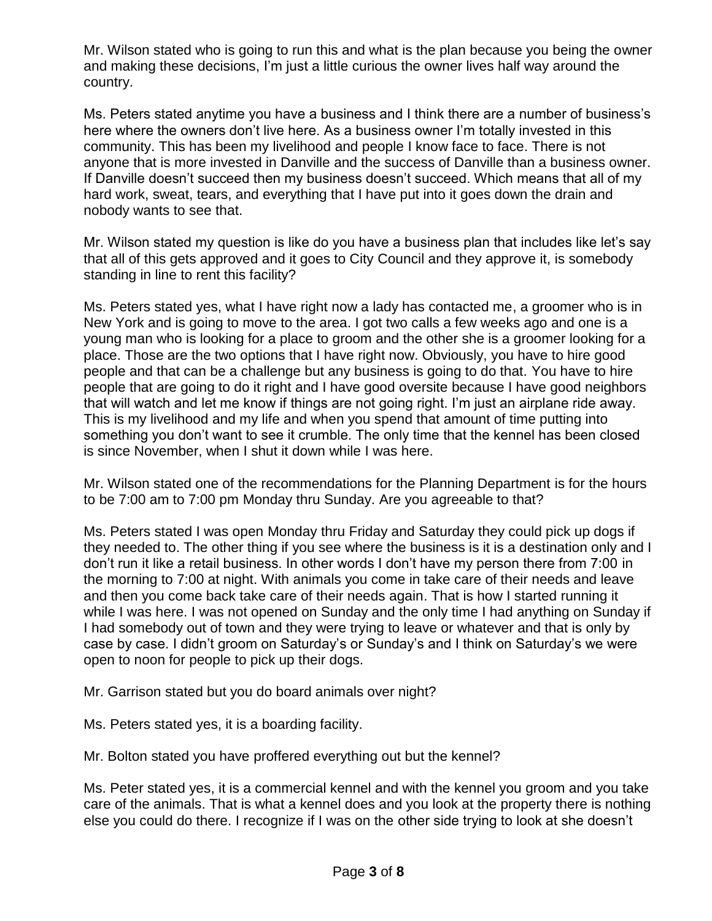Mr. Wilson stated who is going to run this and what is the plan because you being the owner and making these decisions, I'm just a little curious the owner lives half way around the country.

Ms. Peters stated anytime you have a business and I think there are a number of business's here where the owners don't live here. As a business owner I'm totally invested in this community. This has been my livelihood and people I know face to face. There is not anyone that is more invested in Danville and the success of Danville than a business owner. If Danville doesn't succeed then my business doesn't succeed. Which means that all of my hard work, sweat, tears, and everything that I have put into it goes down the drain and nobody wants to see that.

Mr. Wilson stated my question is like do you have a business plan that includes like let's say that all of this gets approved and it goes to City Council and they approve it, is somebody standing in line to rent this facility?

Ms. Peters stated yes, what I have right now a lady has contacted me, a groomer who is in New York and is going to move to the area. I got two calls a few weeks ago and one is a young man who is looking for a place to groom and the other she is a groomer looking for a place. Those are the two options that I have right now. Obviously, you have to hire good people and that can be a challenge but any business is going to do that. You have to hire people that are going to do it right and I have good oversite because I have good neighbors that will watch and let me know if things are not going right. I'm just an airplane ride away. This is my livelihood and my life and when you spend that amount of time putting into something you don't want to see it crumble. The only time that the kennel has been closed is since November, when I shut it down while I was here.

Mr. Wilson stated one of the recommendations for the Planning Department is for the hours to be 7:00 am to 7:00 pm Monday thru Sunday. Are you agreeable to that?

Ms. Peters stated I was open Monday thru Friday and Saturday they could pick up dogs if they needed to. The other thing if you see where the business is it is a destination only and I don't run it like a retail business. In other words I don't have my person there from 7:00 in the morning to 7:00 at night. With animals you come in take care of their needs and leave and then you come back take care of their needs again. That is how I started running it while I was here. I was not opened on Sunday and the only time I had anything on Sunday if I had somebody out of town and they were trying to leave or whatever and that is only by case by case. I didn't groom on Saturday's or Sunday's and I think on Saturday's we were open to noon for people to pick up their dogs.

Mr. Garrison stated but you do board animals over night?

Ms. Peters stated yes, it is a boarding facility.

Mr. Bolton stated you have proffered everything out but the kennel?

Ms. Peter stated yes, it is a commercial kennel and with the kennel you groom and you take care of the animals. That is what a kennel does and you look at the property there is nothing else you could do there. I recognize if I was on the other side trying to look at she doesn't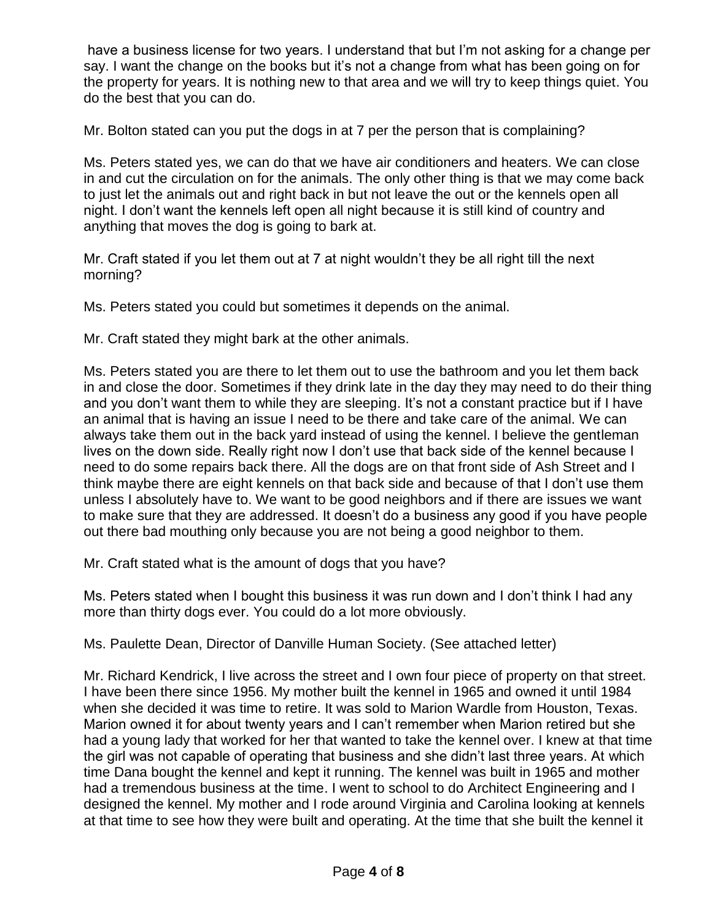have a business license for two years. I understand that but I'm not asking for a change per say. I want the change on the books but it's not a change from what has been going on for the property for years. It is nothing new to that area and we will try to keep things quiet. You do the best that you can do.

Mr. Bolton stated can you put the dogs in at 7 per the person that is complaining?

Ms. Peters stated yes, we can do that we have air conditioners and heaters. We can close in and cut the circulation on for the animals. The only other thing is that we may come back to just let the animals out and right back in but not leave the out or the kennels open all night. I don't want the kennels left open all night because it is still kind of country and anything that moves the dog is going to bark at.

Mr. Craft stated if you let them out at 7 at night wouldn't they be all right till the next morning?

Ms. Peters stated you could but sometimes it depends on the animal.

Mr. Craft stated they might bark at the other animals.

Ms. Peters stated you are there to let them out to use the bathroom and you let them back in and close the door. Sometimes if they drink late in the day they may need to do their thing and you don't want them to while they are sleeping. It's not a constant practice but if I have an animal that is having an issue I need to be there and take care of the animal. We can always take them out in the back yard instead of using the kennel. I believe the gentleman lives on the down side. Really right now I don't use that back side of the kennel because I need to do some repairs back there. All the dogs are on that front side of Ash Street and I think maybe there are eight kennels on that back side and because of that I don't use them unless I absolutely have to. We want to be good neighbors and if there are issues we want to make sure that they are addressed. It doesn't do a business any good if you have people out there bad mouthing only because you are not being a good neighbor to them.

Mr. Craft stated what is the amount of dogs that you have?

Ms. Peters stated when I bought this business it was run down and I don't think I had any more than thirty dogs ever. You could do a lot more obviously.

Ms. Paulette Dean, Director of Danville Human Society. (See attached letter)

Mr. Richard Kendrick, I live across the street and I own four piece of property on that street. I have been there since 1956. My mother built the kennel in 1965 and owned it until 1984 when she decided it was time to retire. It was sold to Marion Wardle from Houston, Texas. Marion owned it for about twenty years and I can't remember when Marion retired but she had a young lady that worked for her that wanted to take the kennel over. I knew at that time the girl was not capable of operating that business and she didn't last three years. At which time Dana bought the kennel and kept it running. The kennel was built in 1965 and mother had a tremendous business at the time. I went to school to do Architect Engineering and I designed the kennel. My mother and I rode around Virginia and Carolina looking at kennels at that time to see how they were built and operating. At the time that she built the kennel it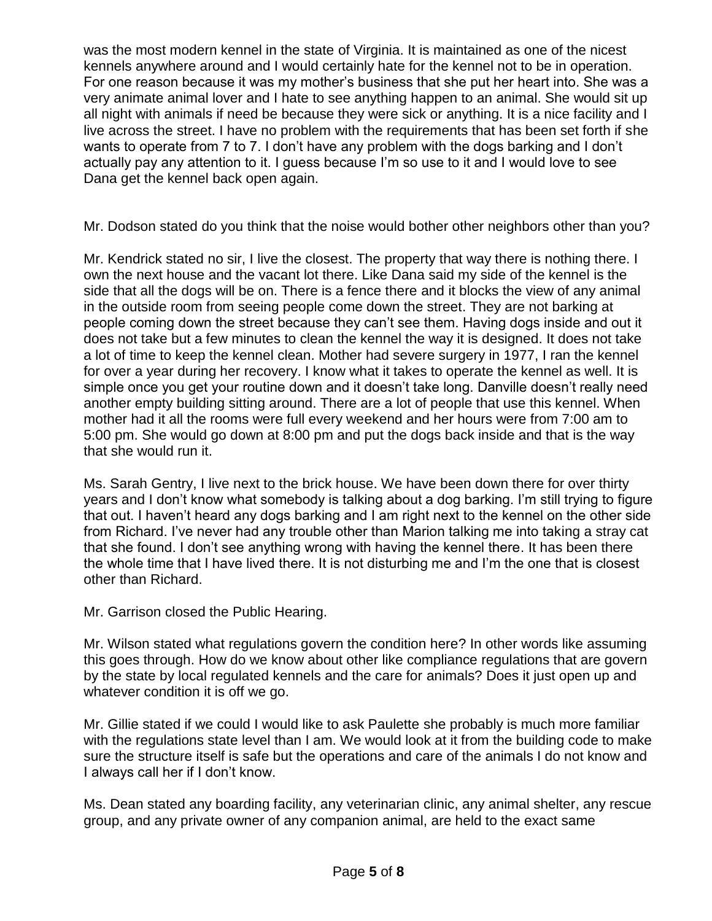was the most modern kennel in the state of Virginia. It is maintained as one of the nicest kennels anywhere around and I would certainly hate for the kennel not to be in operation. For one reason because it was my mother's business that she put her heart into. She was a very animate animal lover and I hate to see anything happen to an animal. She would sit up all night with animals if need be because they were sick or anything. It is a nice facility and I live across the street. I have no problem with the requirements that has been set forth if she wants to operate from 7 to 7. I don't have any problem with the dogs barking and I don't actually pay any attention to it. I guess because I'm so use to it and I would love to see Dana get the kennel back open again.

Mr. Dodson stated do you think that the noise would bother other neighbors other than you?

Mr. Kendrick stated no sir, I live the closest. The property that way there is nothing there. I own the next house and the vacant lot there. Like Dana said my side of the kennel is the side that all the dogs will be on. There is a fence there and it blocks the view of any animal in the outside room from seeing people come down the street. They are not barking at people coming down the street because they can't see them. Having dogs inside and out it does not take but a few minutes to clean the kennel the way it is designed. It does not take a lot of time to keep the kennel clean. Mother had severe surgery in 1977, I ran the kennel for over a year during her recovery. I know what it takes to operate the kennel as well. It is simple once you get your routine down and it doesn't take long. Danville doesn't really need another empty building sitting around. There are a lot of people that use this kennel. When mother had it all the rooms were full every weekend and her hours were from 7:00 am to 5:00 pm. She would go down at 8:00 pm and put the dogs back inside and that is the way that she would run it.

Ms. Sarah Gentry, I live next to the brick house. We have been down there for over thirty years and I don't know what somebody is talking about a dog barking. I'm still trying to figure that out. I haven't heard any dogs barking and I am right next to the kennel on the other side from Richard. I've never had any trouble other than Marion talking me into taking a stray cat that she found. I don't see anything wrong with having the kennel there. It has been there the whole time that I have lived there. It is not disturbing me and I'm the one that is closest other than Richard.

Mr. Garrison closed the Public Hearing.

Mr. Wilson stated what regulations govern the condition here? In other words like assuming this goes through. How do we know about other like compliance regulations that are govern by the state by local regulated kennels and the care for animals? Does it just open up and whatever condition it is off we go.

Mr. Gillie stated if we could I would like to ask Paulette she probably is much more familiar with the regulations state level than I am. We would look at it from the building code to make sure the structure itself is safe but the operations and care of the animals I do not know and I always call her if I don't know.

Ms. Dean stated any boarding facility, any veterinarian clinic, any animal shelter, any rescue group, and any private owner of any companion animal, are held to the exact same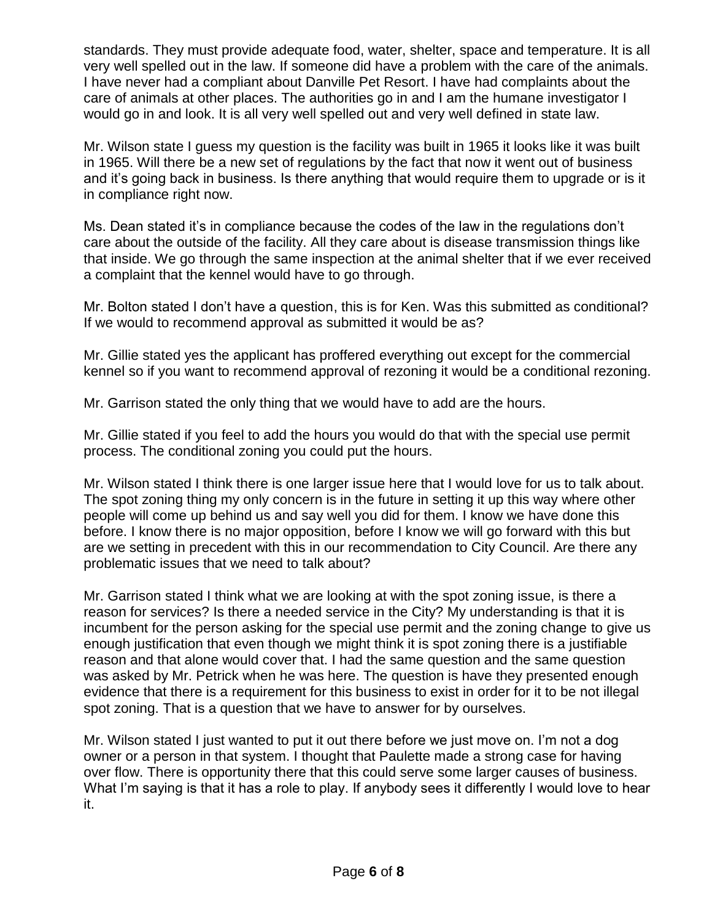standards. They must provide adequate food, water, shelter, space and temperature. It is all very well spelled out in the law. If someone did have a problem with the care of the animals. I have never had a compliant about Danville Pet Resort. I have had complaints about the care of animals at other places. The authorities go in and I am the humane investigator I would go in and look. It is all very well spelled out and very well defined in state law.

Mr. Wilson state I guess my question is the facility was built in 1965 it looks like it was built in 1965. Will there be a new set of regulations by the fact that now it went out of business and it's going back in business. Is there anything that would require them to upgrade or is it in compliance right now.

Ms. Dean stated it's in compliance because the codes of the law in the regulations don't care about the outside of the facility. All they care about is disease transmission things like that inside. We go through the same inspection at the animal shelter that if we ever received a complaint that the kennel would have to go through.

Mr. Bolton stated I don't have a question, this is for Ken. Was this submitted as conditional? If we would to recommend approval as submitted it would be as?

Mr. Gillie stated yes the applicant has proffered everything out except for the commercial kennel so if you want to recommend approval of rezoning it would be a conditional rezoning.

Mr. Garrison stated the only thing that we would have to add are the hours.

Mr. Gillie stated if you feel to add the hours you would do that with the special use permit process. The conditional zoning you could put the hours.

Mr. Wilson stated I think there is one larger issue here that I would love for us to talk about. The spot zoning thing my only concern is in the future in setting it up this way where other people will come up behind us and say well you did for them. I know we have done this before. I know there is no major opposition, before I know we will go forward with this but are we setting in precedent with this in our recommendation to City Council. Are there any problematic issues that we need to talk about?

Mr. Garrison stated I think what we are looking at with the spot zoning issue, is there a reason for services? Is there a needed service in the City? My understanding is that it is incumbent for the person asking for the special use permit and the zoning change to give us enough justification that even though we might think it is spot zoning there is a justifiable reason and that alone would cover that. I had the same question and the same question was asked by Mr. Petrick when he was here. The question is have they presented enough evidence that there is a requirement for this business to exist in order for it to be not illegal spot zoning. That is a question that we have to answer for by ourselves.

Mr. Wilson stated I just wanted to put it out there before we just move on. I'm not a dog owner or a person in that system. I thought that Paulette made a strong case for having over flow. There is opportunity there that this could serve some larger causes of business. What I'm saying is that it has a role to play. If anybody sees it differently I would love to hear it.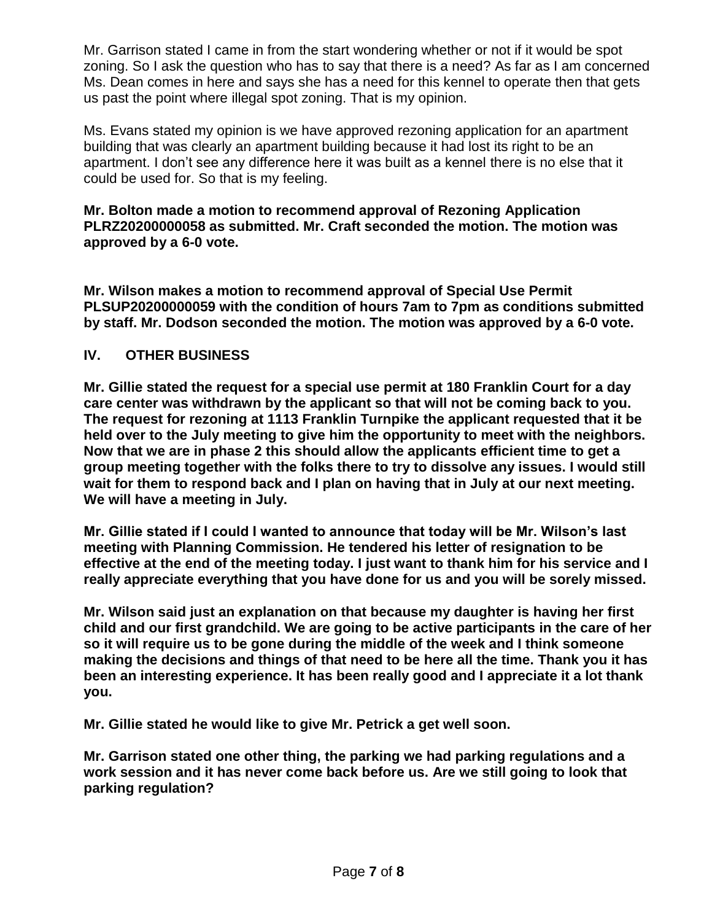Mr. Garrison stated I came in from the start wondering whether or not if it would be spot zoning. So I ask the question who has to say that there is a need? As far as I am concerned Ms. Dean comes in here and says she has a need for this kennel to operate then that gets us past the point where illegal spot zoning. That is my opinion.

Ms. Evans stated my opinion is we have approved rezoning application for an apartment building that was clearly an apartment building because it had lost its right to be an apartment. I don't see any difference here it was built as a kennel there is no else that it could be used for. So that is my feeling.

# **Mr. Bolton made a motion to recommend approval of Rezoning Application PLRZ20200000058 as submitted. Mr. Craft seconded the motion. The motion was approved by a 6-0 vote.**

**Mr. Wilson makes a motion to recommend approval of Special Use Permit PLSUP20200000059 with the condition of hours 7am to 7pm as conditions submitted by staff. Mr. Dodson seconded the motion. The motion was approved by a 6-0 vote.**

# **IV. OTHER BUSINESS**

**Mr. Gillie stated the request for a special use permit at 180 Franklin Court for a day care center was withdrawn by the applicant so that will not be coming back to you. The request for rezoning at 1113 Franklin Turnpike the applicant requested that it be held over to the July meeting to give him the opportunity to meet with the neighbors. Now that we are in phase 2 this should allow the applicants efficient time to get a group meeting together with the folks there to try to dissolve any issues. I would still wait for them to respond back and I plan on having that in July at our next meeting. We will have a meeting in July.**

**Mr. Gillie stated if I could I wanted to announce that today will be Mr. Wilson's last meeting with Planning Commission. He tendered his letter of resignation to be effective at the end of the meeting today. I just want to thank him for his service and I really appreciate everything that you have done for us and you will be sorely missed.**

**Mr. Wilson said just an explanation on that because my daughter is having her first child and our first grandchild. We are going to be active participants in the care of her so it will require us to be gone during the middle of the week and I think someone making the decisions and things of that need to be here all the time. Thank you it has been an interesting experience. It has been really good and I appreciate it a lot thank you.**

**Mr. Gillie stated he would like to give Mr. Petrick a get well soon.**

**Mr. Garrison stated one other thing, the parking we had parking regulations and a work session and it has never come back before us. Are we still going to look that parking regulation?**